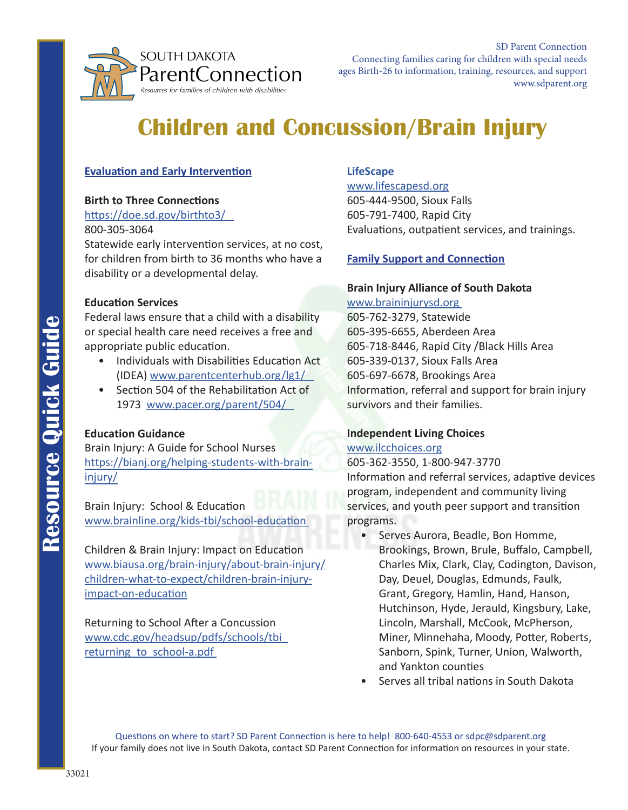

# **Children and Concussion/Brain Injury**

## **Evaluation and Early Intervention**

#### **Birth to Three Connections**

<https://doe.sd.gov/birthto3/> 800-305-3064

Statewide early intervention services, at no cost, for children from birth to 36 months who have a disability or a developmental delay.

### **Education Services**

Federal laws ensure that a child with a disability or special health care need receives a free and appropriate public education.

- Individuals with Disabilities Education Act (IDEA) [www.parentcenterhub.org/lg1/](http://www.parentcenterhub.org/lg1/)
- Section 504 of the Rehabilitation Act of 1973 [www.pacer.org/parent/504/](http://www.pacer.org/parent/504/)

## **Education Guidance**

Brain Injury: A Guide for School Nurses [https://bianj.org/helping-students-with-brain](https://bianj.org/helping-students-with-brain-injury/)injury/

Brain Injury: School & Education [www.brainline.org/kids-tbi/school-education](http://www.brainline.org/kids-tbi/school-education) 

Children & Brain Injury: Impact on Education [www.biausa.org/brain-injury/about-brain-injury/](https://www.biausa.org/brain-injury/about-brain-injury/children-what-to-expect/children-brain-injury-impact-on-education) children-what-to-expect/children-brain-injuryimpact-on-education

Returning to School After a Concussion [www.cdc.gov/headsup/pdfs/schools/tbi\\_](https://www.cdc.gov/headsup/pdfs/schools/tbi_returning_to_school-a.pdf) returning to school-a.pdf

### **LifeScape**

[www.lifescapesd.org](http://www.lifescapesd.org) 605-444-9500, Sioux Falls 605-791-7400, Rapid City Evaluations, outpatient services, and trainings.

## **Family Support and Connection**

# **Brain Injury Alliance of South Dakota**

[www.braininjurysd.org](http://www.braininjurysd.org)  605-762-3279, Statewide 605-395-6655, Aberdeen Area 605-718-8446, Rapid City /Black Hills Area 605-339-0137, Sioux Falls Area 605-697-6678, Brookings Area Information, referral and support for brain injury survivors and their families.

## **Independent Living Choices**

#### [www.ilcchoices.org](http://www.ilcchoices.org)

605-362-3550, 1-800-947-3770 Information and referral services, adaptive devices program, independent and community living services, and youth peer support and transition programs.

- Serves Aurora, Beadle, Bon Homme, Brookings, Brown, Brule, Buffalo, Campbell, Charles Mix, Clark, Clay, Codington, Davison, Day, Deuel, Douglas, Edmunds, Faulk, Grant, Gregory, Hamlin, Hand, Hanson, Hutchinson, Hyde, Jerauld, Kingsbury, Lake, Lincoln, Marshall, McCook, McPherson, Miner, Minnehaha, Moody, Potter, Roberts, Sanborn, Spink, Turner, Union, Walworth, and Yankton counties
- Serves all tribal nations in South Dakota

Questions on where to start? SD Parent Connection is here to help! 800-640-4553 or [sdpc@sdparent.org](mailto:sdpc@sdparent.org) If your family does not live in South Dakota, contact SD Parent Connection for information on resources in your state.